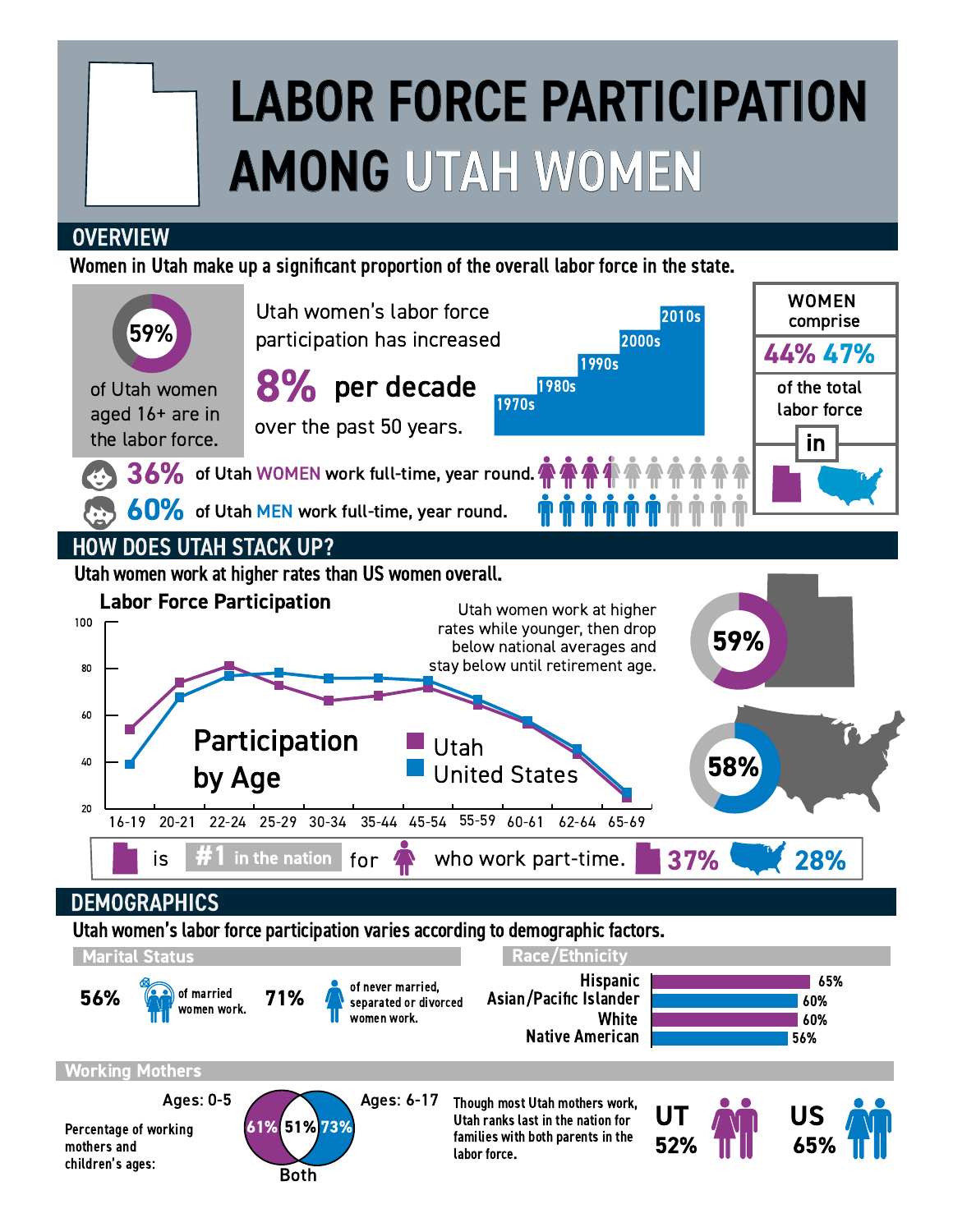# LABOR FORCE PARTICIPATION AMONG UTAH WOMEN

## **OVERVIEW**

Women in Utah make up a significant proportion of the overall labor force in the state.